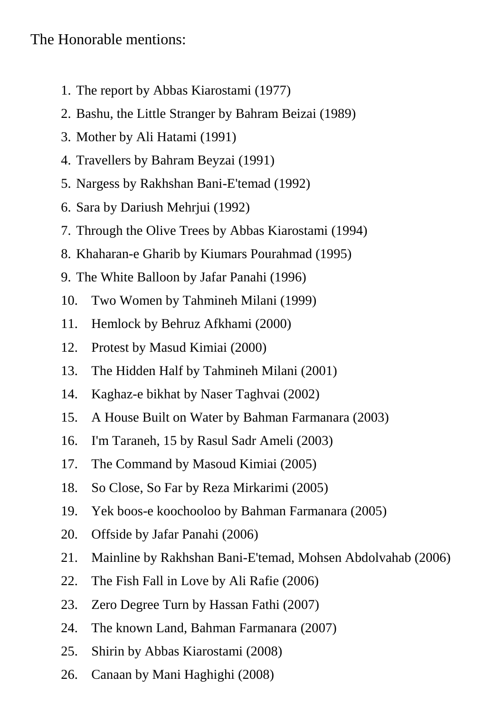## The Honorable mentions:

- 1. The report by Abbas Kiarostami (1977)
- 2. Bashu, the Little Stranger by Bahram Beizai (1989)
- 3. Mother by Ali Hatami (1991)
- 4. Travellers by Bahram Beyzai (1991)
- 5. Nargess by Rakhshan Bani-E'temad (1992)
- 6. Sara by Dariush Mehrjui (1992)
- 7. Through the Olive Trees by Abbas Kiarostami (1994)
- 8. Khaharan-e Gharib by Kiumars Pourahmad (1995)
- 9. The White Balloon by Jafar Panahi (1996)
- 10. Two Women by Tahmineh Milani (1999)
- 11. Hemlock by Behruz Afkhami (2000)
- 12. Protest by Masud Kimiai (2000)
- 13. The Hidden Half by Tahmineh Milani (2001)
- 14. Kaghaz-e bikhat by Naser Taghvai (2002)
- 15. A House Built on Water by Bahman Farmanara (2003)
- 16. I'm Taraneh, 15 by Rasul Sadr Ameli (2003)
- 17. The Command by Masoud Kimiai (2005)
- 18. So Close, So Far by Reza Mirkarimi (2005)
- 19. Yek boos-e koochooloo by Bahman Farmanara (2005)
- 20. Offside by Jafar Panahi (2006)
- 21. Mainline by Rakhshan Bani-E'temad, Mohsen Abdolvahab (2006)
- 22. The Fish Fall in Love by Ali Rafie (2006)
- 23. Zero Degree Turn by Hassan Fathi (2007)
- 24. The known Land, Bahman Farmanara (2007)
- 25. Shirin by Abbas Kiarostami (2008)
- 26. Canaan by Mani Haghighi (2008)